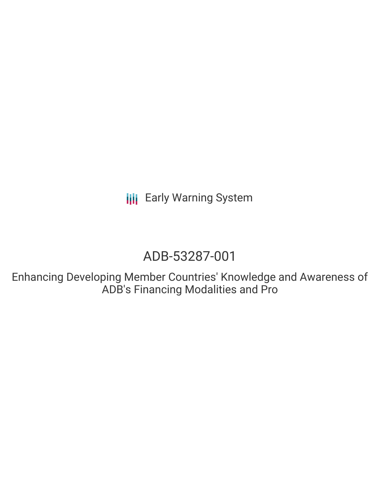**III** Early Warning System

# ADB-53287-001

Enhancing Developing Member Countries' Knowledge and Awareness of ADB's Financing Modalities and Pro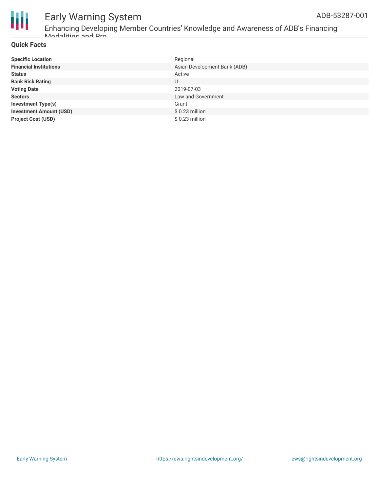

## Early Warning System ADB-53287-001

Enhancing Developing Member Countries' Knowledge and Awareness of ADB's Financing Modalities and Pro

#### **Quick Facts**

| <b>Specific Location</b>       | Regional                     |
|--------------------------------|------------------------------|
| <b>Financial Institutions</b>  | Asian Development Bank (ADB) |
| <b>Status</b>                  | Active                       |
| <b>Bank Risk Rating</b>        | U                            |
| <b>Voting Date</b>             | 2019-07-03                   |
| <b>Sectors</b>                 | Law and Government           |
| <b>Investment Type(s)</b>      | Grant                        |
| <b>Investment Amount (USD)</b> | $$0.23$ million              |
| <b>Project Cost (USD)</b>      | $$0.23$ million              |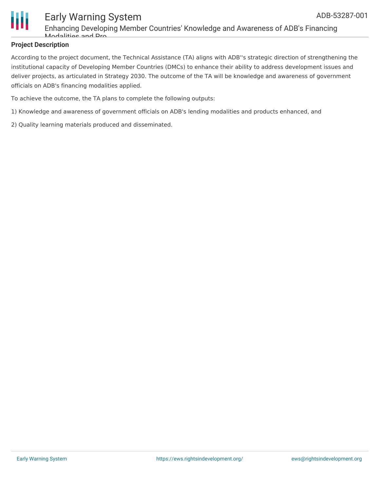

### Early Warning System Enhancing Developing Member Countries' Knowledge and Awareness of ADB's Financing Modalities and Dro

#### **Project Description**

According to the project document, the Technical Assistance (TA) aligns with ADB''s strategic direction of strengthening the institutional capacity of Developing Member Countries (DMCs) to enhance their ability to address development issues and deliver projects, as articulated in Strategy 2030. The outcome of the TA will be knowledge and awareness of government officials on ADB's financing modalities applied.

To achieve the outcome, the TA plans to complete the following outputs:

- 1) Knowledge and awareness of government officials on ADB's lending modalities and products enhanced, and
- 2) Quality learning materials produced and disseminated.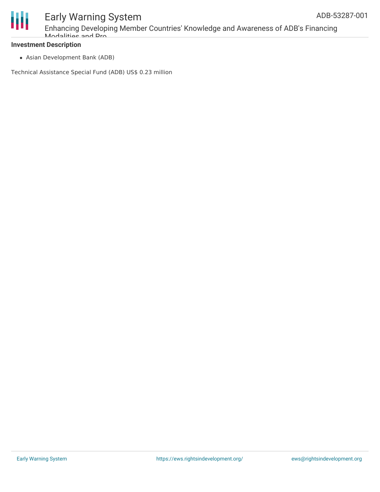

### Early Warning System Enhancing Developing Member Countries' Knowledge and Awareness of ADB's Financing Modalities and Pro

#### **Investment Description**

Asian Development Bank (ADB)

Technical Assistance Special Fund (ADB) US\$ 0.23 million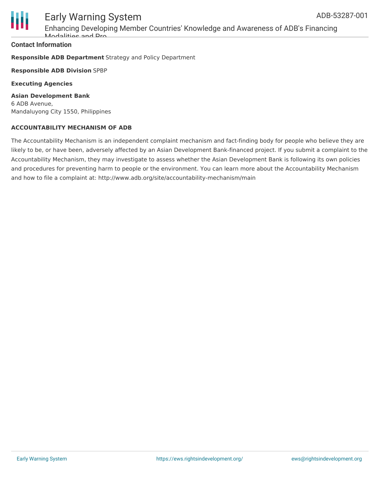

# Early Warning System

Enhancing Developing Member Countries' Knowledge and Awareness of ADB's Financing Modalities and Pro

#### **Contact Information**

**Responsible ADB Department** Strategy and Policy Department

**Responsible ADB Division** SPBP

**Executing Agencies**

**Asian Development Bank** 6 ADB Avenue, Mandaluyong City 1550, Philippines

#### **ACCOUNTABILITY MECHANISM OF ADB**

The Accountability Mechanism is an independent complaint mechanism and fact-finding body for people who believe they are likely to be, or have been, adversely affected by an Asian Development Bank-financed project. If you submit a complaint to the Accountability Mechanism, they may investigate to assess whether the Asian Development Bank is following its own policies and procedures for preventing harm to people or the environment. You can learn more about the Accountability Mechanism and how to file a complaint at: http://www.adb.org/site/accountability-mechanism/main